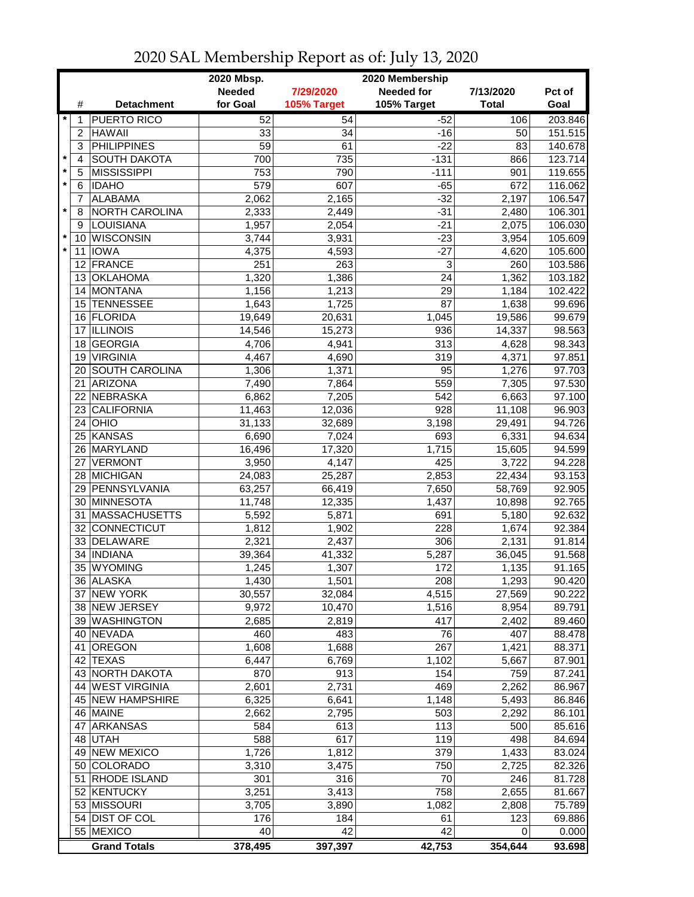|                         |                 |                                      | 2020 Mbsp.<br>2020 Membership |                  |                   |                 |                    |  |
|-------------------------|-----------------|--------------------------------------|-------------------------------|------------------|-------------------|-----------------|--------------------|--|
|                         |                 |                                      | <b>Needed</b>                 | 7/29/2020        | <b>Needed for</b> | 7/13/2020       | Pct of             |  |
|                         | #               | <b>Detachment</b>                    | for Goal                      | 105% Target      | 105% Target       | <b>Total</b>    | Goal               |  |
| $\star$                 | 1               | <b>PUERTO RICO</b>                   | 52                            | 54               | $-52$             | 106             | 203.846            |  |
|                         | $\overline{2}$  | <b>HAWAII</b>                        | 33                            | 34               | $-16$             | 50              | 151.515            |  |
|                         | 3               | <b>PHILIPPINES</b>                   | 59                            | 61               | $-22$             | 83              | 140.678            |  |
| $\star$                 | 4               | <b>SOUTH DAKOTA</b>                  | 700                           | 735              | $-131$            | 866             | 123.714            |  |
| $\pmb{\ast}$<br>$\star$ | 5               | <b>MISSISSIPPI</b>                   | 753                           | 790              | $-111$            | 901             | 119.655            |  |
|                         | 6               | <b>IDAHO</b>                         | 579                           | 607              | $-65$             | 672             | 116.062            |  |
| $\star$                 | 7               | <b>ALABAMA</b>                       | 2,062                         | 2,165            | $-32$             | 2,197           | 106.547            |  |
|                         | 8               | NORTH CAROLINA                       | 2,333                         | 2,449            | $-31$<br>$-21$    | 2,480           | 106.301            |  |
| $\star$                 | 9<br>10         | <b>LOUISIANA</b><br><b>WISCONSIN</b> | 1,957<br>3,744                | 2,054<br>3,931   | $-23$             | 2,075<br>3,954  | 106.030<br>105.609 |  |
| $\star$                 | 11              | <b>IOWA</b>                          | 4,375                         | 4,593            | $-27$             | 4,620           | 105.600            |  |
|                         |                 | 12 FRANCE                            | 251                           | 263              | 3                 | 260             | 103.586            |  |
|                         |                 | 13 OKLAHOMA                          | 1,320                         | 1,386            | 24                | 1,362           | 103.182            |  |
|                         |                 | 14 MONTANA                           | 1,156                         | 1,213            | 29                | 1,184           | 102.422            |  |
|                         |                 | 15 TENNESSEE                         | 1,643                         | 1,725            | 87                | 1,638           | 99.696             |  |
|                         |                 | 16 FLORIDA                           | 19,649                        | 20,631           | 1,045             | 19,586          | 99.679             |  |
|                         | 17              | <b>ILLINOIS</b>                      | 14,546                        | 15,273           | 936               | 14,337          | 98.563             |  |
|                         | 18              | GEORGIA                              | 4,706                         | 4,941            | 313               | 4,628           | 98.343             |  |
|                         | 19              | <b>VIRGINIA</b>                      | 4,467                         | 4,690            | 319               | 4,371           | 97.851             |  |
|                         | 20              | <b>SOUTH CAROLINA</b>                | 1,306                         | 1,371            | 95                | 1,276           | 97.703             |  |
|                         | 21              | ARIZONA                              | 7,490                         | 7,864            | 559               | 7,305           | 97.530             |  |
|                         | 22              | NEBRASKA                             | 6,862                         | 7,205            | 542               | 6,663           | 97.100             |  |
|                         | 23              | <b>CALIFORNIA</b>                    | 11,463                        | 12,036           | $\overline{928}$  | 11,108          | 96.903             |  |
|                         | 24              | OHIO                                 | 31,133                        | 32,689           | 3,198             | 29,491          | 94.726             |  |
|                         | 25              | KANSAS                               | 6,690                         | 7,024            | 693               | 6,331           | 94.634             |  |
|                         | 26              | MARYLAND                             | 16,496                        | 17,320           | 1,715             | 15,605          | 94.599             |  |
|                         |                 | 27 VERMONT                           | 3,950                         | 4,147            | 425               | 3,722           | 94.228             |  |
|                         |                 | 28 MICHIGAN                          | 24,083                        | 25,287           | 2,853             | 22,434          | 93.153             |  |
|                         |                 | 29 PENNSYLVANIA                      | 63,257                        | 66,419           | 7,650             | 58,769          | 92.905             |  |
|                         |                 | 30 MINNESOTA                         | 11,748                        | 12,335           | 1,437             | 10,898          | 92.765             |  |
|                         |                 | 31 MASSACHUSETTS                     | 5,592                         | 5,871            | 691               | 5,180           | 92.632             |  |
|                         | 32 <sup>2</sup> | CONNECTICUT                          | 1,812                         | 1,902            | 228               | 1,674           | 92.384             |  |
|                         |                 | 33 DELAWARE                          | 2,321                         | 2,437            | 306               | 2,131           | 91.814             |  |
|                         | 34              | <b>INDIANA</b>                       | 39,364                        | 41,332           | 5,287             | 36,045          | 91.568             |  |
|                         |                 | 35 WYOMING                           | 1,245                         | 1,307            | 172               | 1,135           | 91.165             |  |
|                         |                 | 36 ALASKA                            | 1,430                         | 1,501            | 208               | 1,293<br>27,569 | 90.420             |  |
|                         |                 | 37 NEW YORK<br>38 NEW JERSEY         | 30,557<br>9,972               | 32,084<br>10,470 | 4,515<br>1,516    | 8,954           | 90.222<br>89.791   |  |
|                         |                 | 39 WASHINGTON                        | 2,685                         | 2,819            | 417               | 2,402           | 89.460             |  |
|                         |                 | 40 NEVADA                            | 460                           | 483              | 76                | 407             | 88.478             |  |
|                         | 41              | OREGON                               | 1,608                         | 1,688            | 267               | 1,421           | 88.371             |  |
|                         |                 | 42 TEXAS                             | 6,447                         | 6,769            | 1,102             | 5,667           | 87.901             |  |
|                         |                 | 43 NORTH DAKOTA                      | 870                           | 913              | 154               | 759             | 87.241             |  |
|                         |                 | 44 WEST VIRGINIA                     | 2,601                         | 2,731            | 469               | 2,262           | 86.967             |  |
|                         |                 | 45 NEW HAMPSHIRE                     | 6,325                         | 6,641            | 1,148             | 5,493           | 86.846             |  |
|                         |                 | 46 MAINE                             | 2,662                         | 2,795            | 503               | 2,292           | 86.101             |  |
|                         |                 | 47 ARKANSAS                          | 584                           | 613              | 113               | 500             | 85.616             |  |
|                         |                 | 48 UTAH                              | 588                           | 617              | 119               | 498             | 84.694             |  |
|                         |                 | 49 NEW MEXICO                        | 1,726                         | 1,812            | 379               | 1,433           | 83.024             |  |
|                         |                 | 50 COLORADO                          | 3,310                         | 3,475            | 750               | 2,725           | 82.326             |  |
|                         |                 | 51 RHODE ISLAND                      | 301                           | 316              | 70                | 246             | 81.728             |  |
|                         |                 | 52 KENTUCKY                          | 3,251                         | 3,413            | 758               | 2,655           | 81.667             |  |
|                         |                 | 53 MISSOURI                          | 3,705                         | 3,890            | 1,082             | 2,808           | 75.789             |  |
|                         |                 | 54 DIST OF COL                       | 176                           | 184              | 61                | 123             | 69.886             |  |
|                         |                 | 55 MEXICO                            | 40                            | 42               | 42                | 0               | 0.000              |  |
|                         |                 | <b>Grand Totals</b>                  | 378,495                       | 397,397          | 42,753            | 354,644         | 93.698             |  |

## 2020 SAL Membership Report as of: July 13, 2020